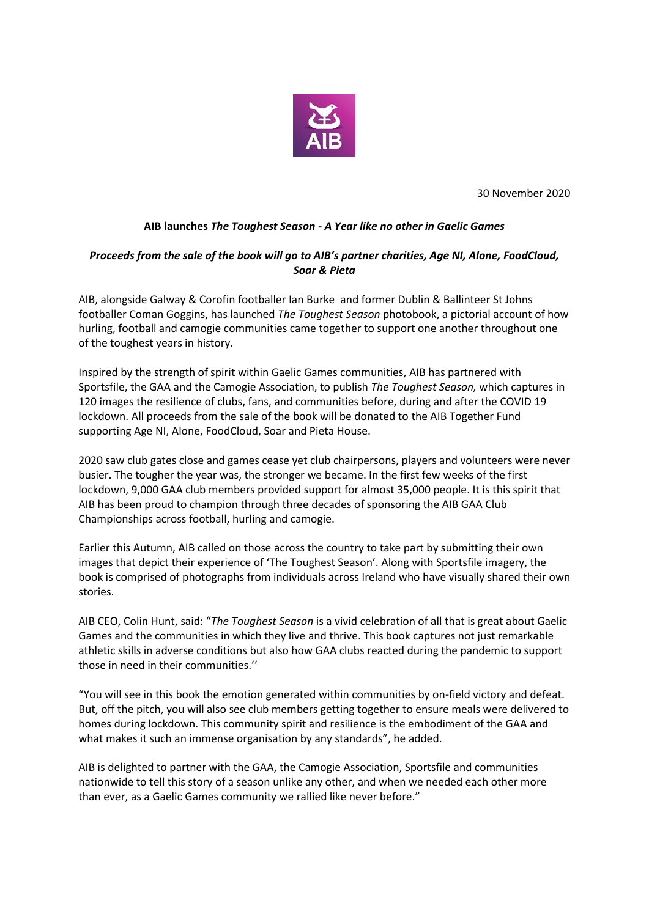

30 November 2020

## **AIB launches** *The Toughest Season - A Year like no other in Gaelic Games*

## *Proceeds from the sale of the book will go to AIB's partner charities, Age NI, Alone, FoodCloud, Soar & Pieta*

AIB, alongside Galway & Corofin footballer Ian Burke and former Dublin & Ballinteer St Johns footballer Coman Goggins, has launched *The Toughest Season* photobook, a pictorial account of how hurling, football and camogie communities came together to support one another throughout one of the toughest years in history.

Inspired by the strength of spirit within Gaelic Games communities, AIB has partnered with Sportsfile, the GAA and the Camogie Association, to publish *The Toughest Season,* which captures in 120 images the resilience of clubs, fans, and communities before, during and after the COVID 19 lockdown. All proceeds from the sale of the book will be donated to the AIB Together Fund supporting Age NI, Alone, FoodCloud, Soar and Pieta House.

2020 saw club gates close and games cease yet club chairpersons, players and volunteers were never busier. The tougher the year was, the stronger we became. In the first few weeks of the first lockdown, 9,000 GAA club members provided support for almost 35,000 people. It is this spirit that AIB has been proud to champion through three decades of sponsoring the AIB GAA Club Championships across football, hurling and camogie.

Earlier this Autumn, AIB called on those across the country to take part by submitting their own images that depict their experience of 'The Toughest Season'. Along with Sportsfile imagery, the book is comprised of photographs from individuals across Ireland who have visually shared their own stories.

AIB CEO, Colin Hunt, said: "*The Toughest Season* is a vivid celebration of all that is great about Gaelic Games and the communities in which they live and thrive. This book captures not just remarkable athletic skills in adverse conditions but also how GAA clubs reacted during the pandemic to support those in need in their communities.''

"You will see in this book the emotion generated within communities by on-field victory and defeat. But, off the pitch, you will also see club members getting together to ensure meals were delivered to homes during lockdown. This community spirit and resilience is the embodiment of the GAA and what makes it such an immense organisation by any standards", he added.

AIB is delighted to partner with the GAA, the Camogie Association, Sportsfile and communities nationwide to tell this story of a season unlike any other, and when we needed each other more than ever, as a Gaelic Games community we rallied like never before."